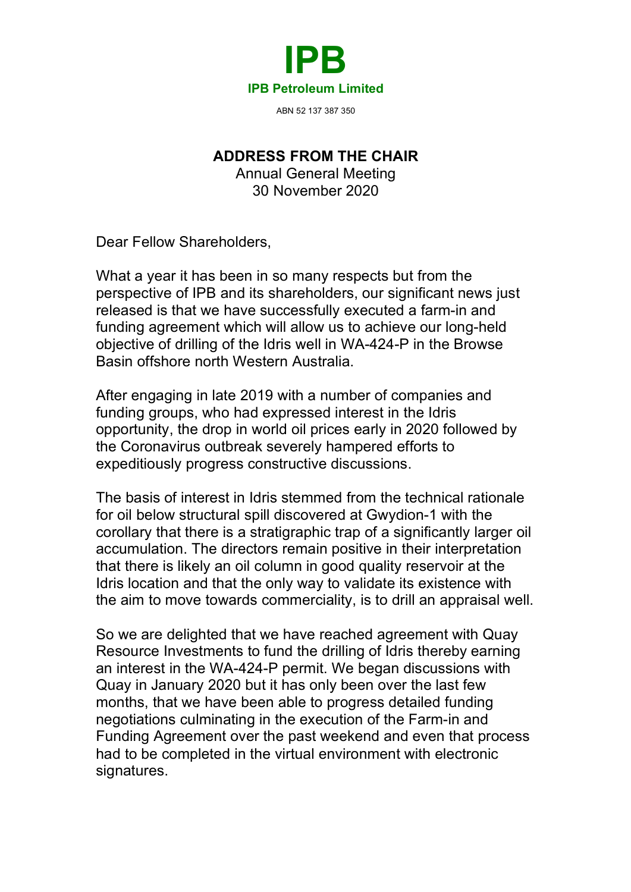

**ADDRESS FROM THE CHAIR**

Annual General Meeting 30 November 2020

Dear Fellow Shareholders,

What a year it has been in so many respects but from the perspective of IPB and its shareholders, our significant news just released is that we have successfully executed a farm-in and funding agreement which will allow us to achieve our long-held objective of drilling of the Idris well in WA-424-P in the Browse Basin offshore north Western Australia.

After engaging in late 2019 with a number of companies and funding groups, who had expressed interest in the Idris opportunity, the drop in world oil prices early in 2020 followed by the Coronavirus outbreak severely hampered efforts to expeditiously progress constructive discussions.

The basis of interest in Idris stemmed from the technical rationale for oil below structural spill discovered at Gwydion-1 with the corollary that there is a stratigraphic trap of a significantly larger oil accumulation. The directors remain positive in their interpretation that there is likely an oil column in good quality reservoir at the Idris location and that the only way to validate its existence with the aim to move towards commerciality, is to drill an appraisal well.

So we are delighted that we have reached agreement with Quay Resource Investments to fund the drilling of Idris thereby earning an interest in the WA-424-P permit. We began discussions with Quay in January 2020 but it has only been over the last few months, that we have been able to progress detailed funding negotiations culminating in the execution of the Farm-in and Funding Agreement over the past weekend and even that process had to be completed in the virtual environment with electronic signatures.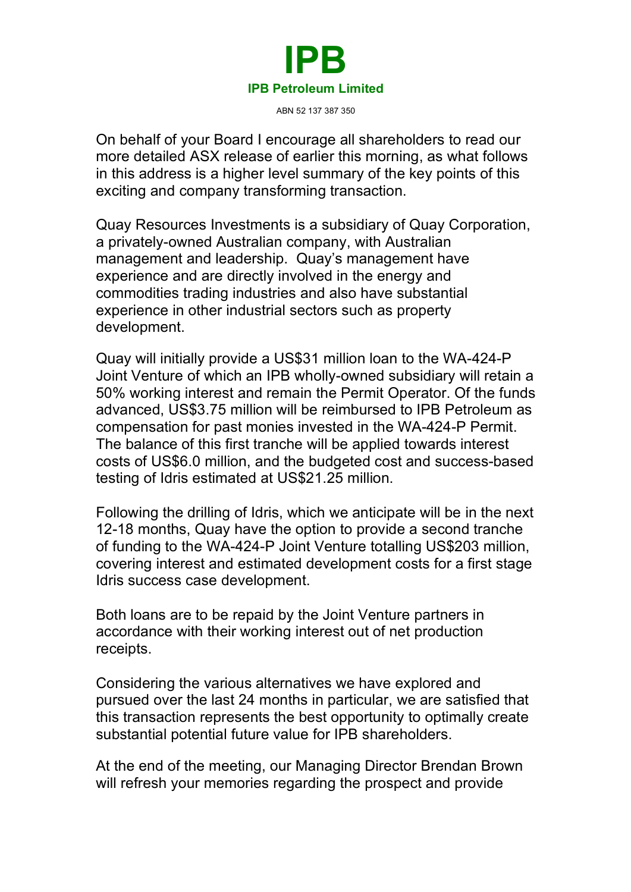

ABN 52 137 387 350

On behalf of your Board I encourage all shareholders to read our more detailed ASX release of earlier this morning, as what follows in this address is a higher level summary of the key points of this exciting and company transforming transaction.

Quay Resources Investments is a subsidiary of Quay Corporation, a privately-owned Australian company, with Australian management and leadership. Quay's management have experience and are directly involved in the energy and commodities trading industries and also have substantial experience in other industrial sectors such as property development.

Quay will initially provide a US\$31 million loan to the WA-424-P Joint Venture of which an IPB wholly-owned subsidiary will retain a 50% working interest and remain the Permit Operator. Of the funds advanced, US\$3.75 million will be reimbursed to IPB Petroleum as compensation for past monies invested in the WA-424-P Permit. The balance of this first tranche will be applied towards interest costs of US\$6.0 million, and the budgeted cost and success-based testing of Idris estimated at US\$21.25 million.

Following the drilling of Idris, which we anticipate will be in the next 12-18 months, Quay have the option to provide a second tranche of funding to the WA-424-P Joint Venture totalling US\$203 million, covering interest and estimated development costs for a first stage Idris success case development.

Both loans are to be repaid by the Joint Venture partners in accordance with their working interest out of net production receipts.

Considering the various alternatives we have explored and pursued over the last 24 months in particular, we are satisfied that this transaction represents the best opportunity to optimally create substantial potential future value for IPB shareholders.

At the end of the meeting, our Managing Director Brendan Brown will refresh your memories regarding the prospect and provide